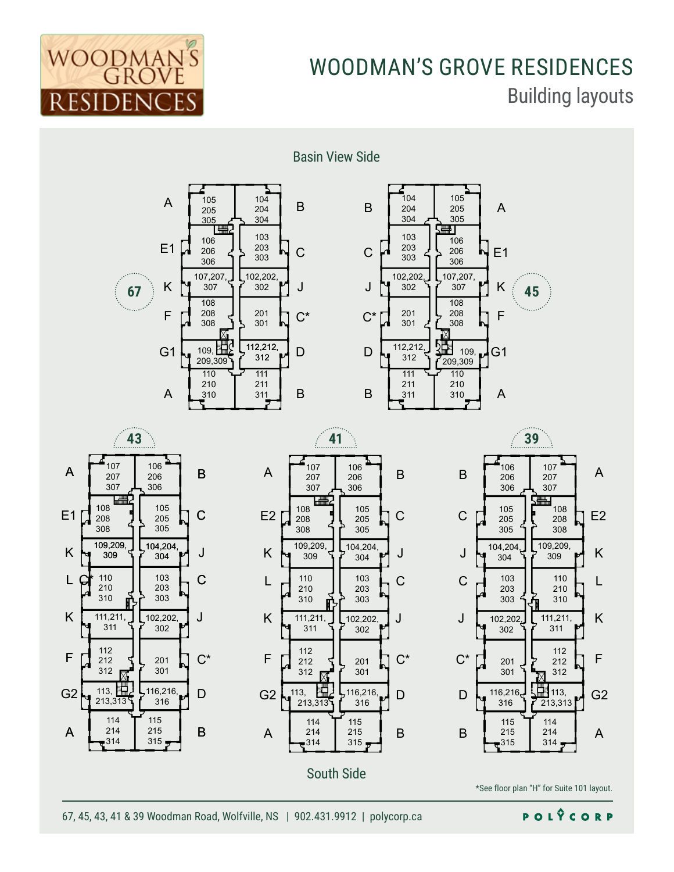

## WOODMAN'S GROVE RESIDENCES Building layouts

Basin View Side











\*See floor plan "H" for Suite 101 layout.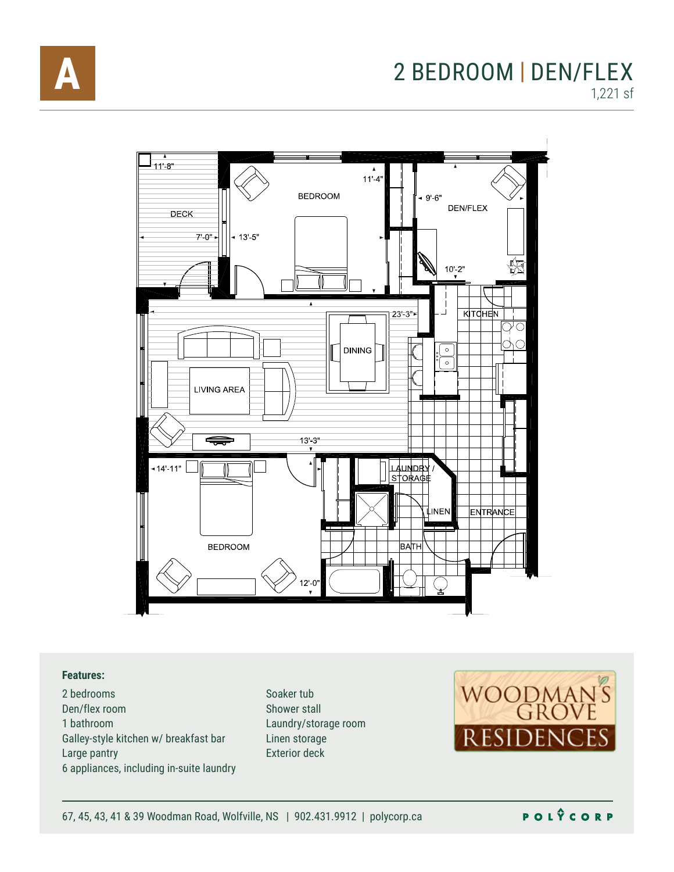

# 2 BEDROOM | DEN/FLEX

1,221 sf



#### **Features:**

Scale: 1/8" = 1'-0" Galley-style kitchen w/ breakfast bar 2 bedrooms Den/flex room 1 bathroom Large pantry 6 appliances, including in-suite laundry

Preliminary unit layout shown. Final plan may vary. Shower stall Soaker tub Laundry/storage room Linen storage Exterior deck

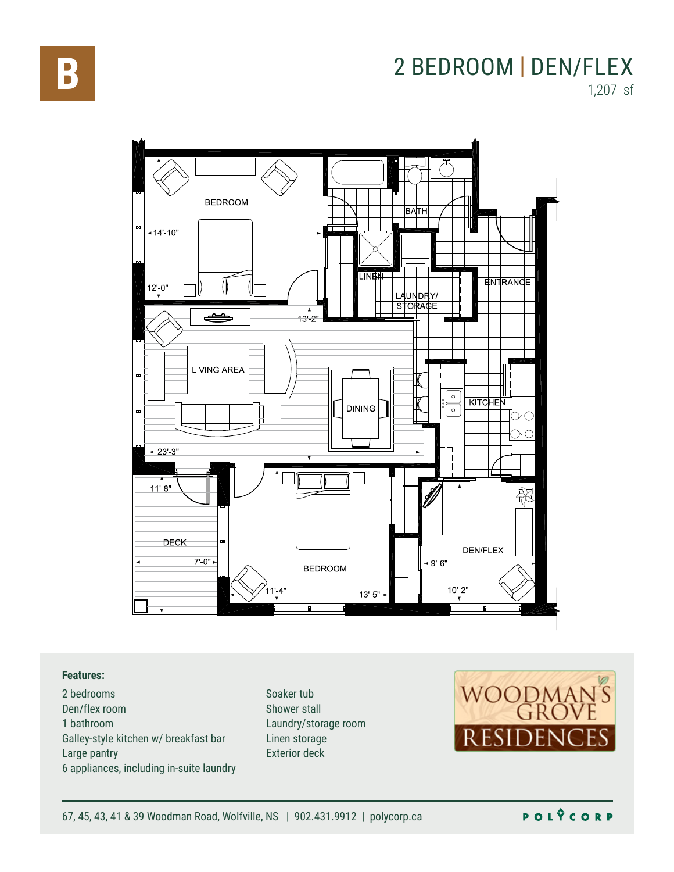

### 2 BEDROOM | DEN/FLEX 1,207 sf



#### **Features:**

Galley-style kitchen w/ breakfast bar<br>. 2 bedrooms Den/flex room 1 bathroom Large pantry 6 appliances, including in-suite laundry

Preliminary unit layout shown. Final plan may vary. Shower stall Soaker tub Laundry/storage room Linen storage Exterior deck

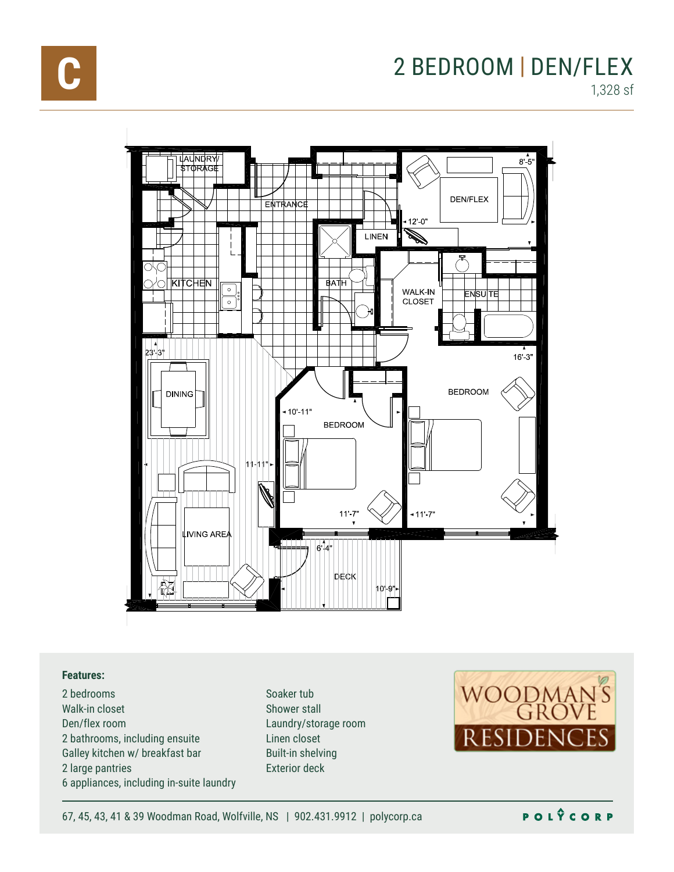



#### **Features:**

2 bedrooms Walk-in closet Den/flex room 2 bathrooms, including ensuite Galley kitchen w/ breakfast bar 2 large pantries 6 appliances, including in-suite laundry

Preliminary unit layout shown. Final plan may vary. Soaker tub Shower stall Laundry/storage room Linen closet Built-in shelving Exterior deck



67, 45, 43, 41 & 39 Woodman Road, Wolfville, NS | 902.431.9912 | polycorp.ca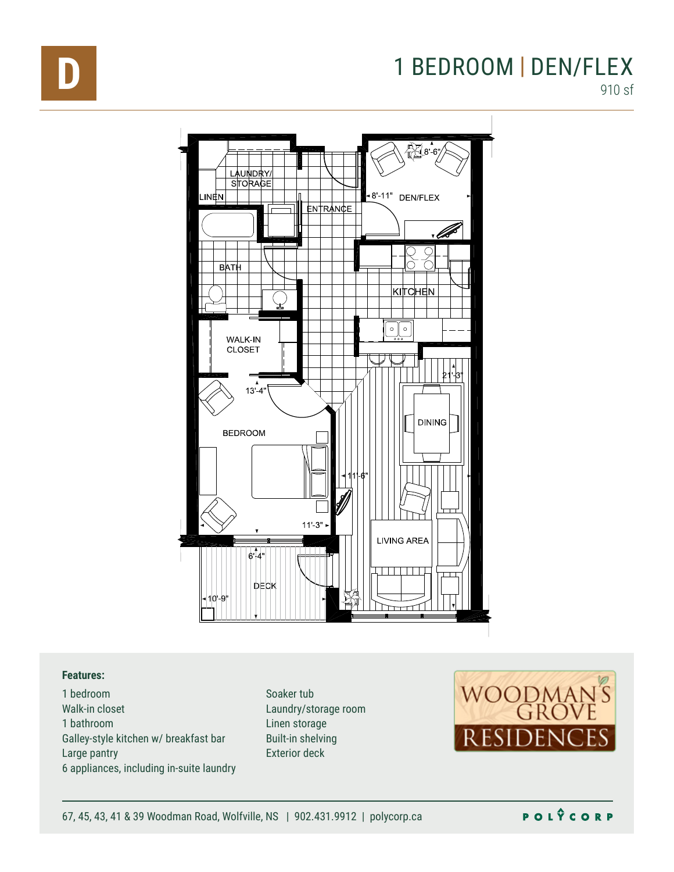

### **D** 1 BEDROOM | DEN/FLEX 910 sf



#### **Features:**

1 bedroom Walk-in closet 1 bathroom Galley-style kitchen w/ breakfast bar Large pantry 6 appliances, including in-suite laundry

**Prediction in Laundry/storage room** st bar Built-in shelving Soaker tub Linen storage Exterior deck



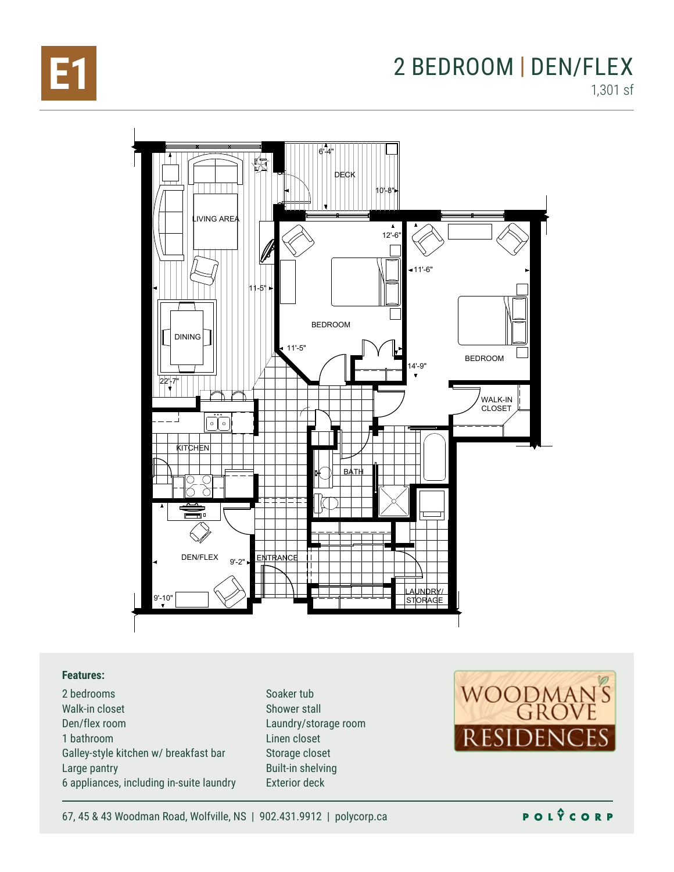

### **E1** 2 BEDROOM | DEN/FLEX 1,301 sf



#### **Features:**

2 bedrooms Walk-in closet Den/flex room 1 bathroom Galley-style kitchen w/ breakfast bar Large pantry 6 appliances, including in-suite laundry Soaker tub Shower stall Laundry/storage room Linen closet Storage closet Built-in shelving Exterior deck



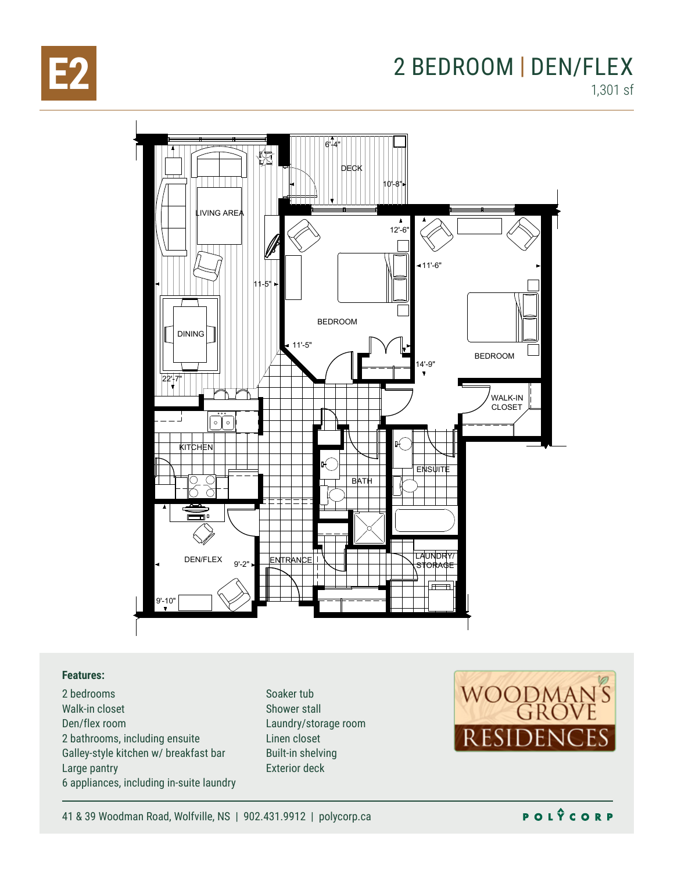

### **E2** 2 BEDROOM | DEN/FLEX 1,301 sf



#### **Features:**

2 bedrooms Walk-in closet Den/flex room 2 bathrooms, including ensuite Galley-style kitchen w/ breakfast bar Large pantry 6 appliances, including in-suite laundry Soaker tub Shower stall Laundry/storage room Linen closet Built-in shelving Exterior deck



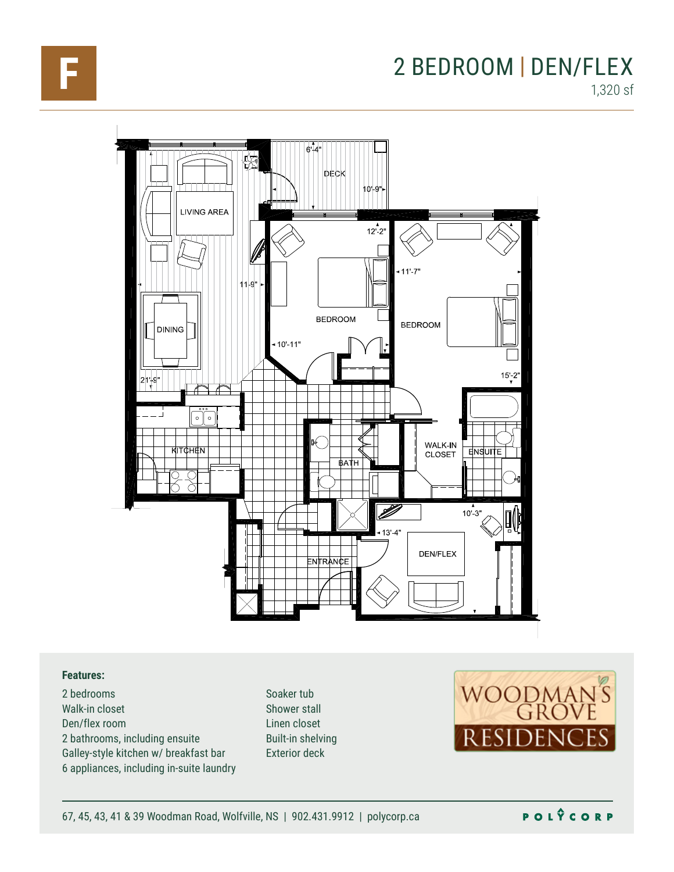

### **F** 2 BEDROOM | DEN/FLEX 1,320 sf



#### **Features:**

2 bedrooms Walk-in closet Den/flex room 2 bathrooms, including ensuite Galley-style kitchen w/ breakfast bar 6 appliances, including in-suite laundry Soaker tub Shower stall Linen closet Built-in shelving Exterior deck



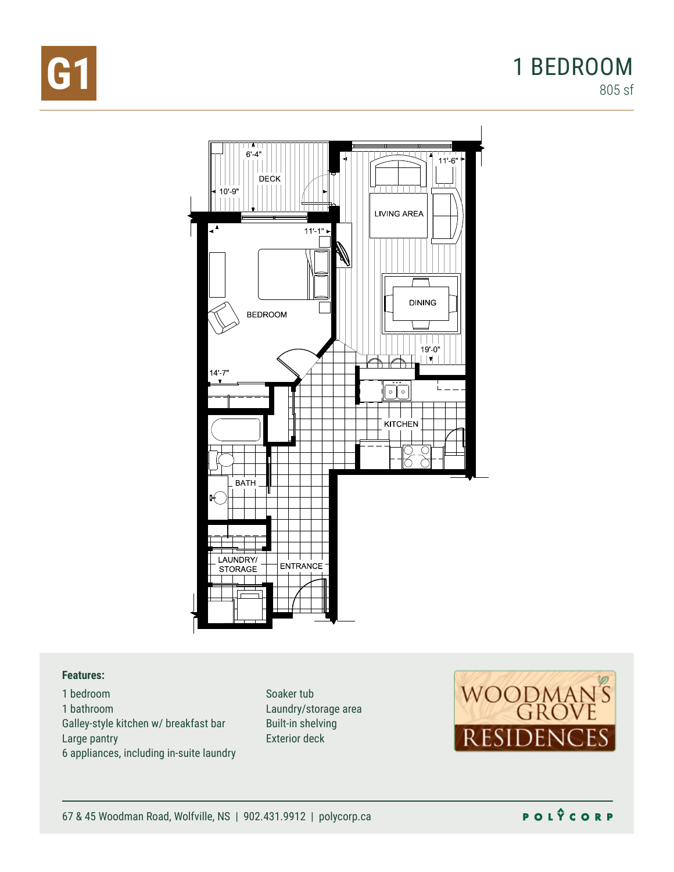



#### **Features:**

1 bedroom 1 bathroom Galley-style kitchen w/ breakfast bar Large pantry 6 appliances, including in-suite laundry

Soaker tub Laundry/storage area Built-in shelving Exterior deck



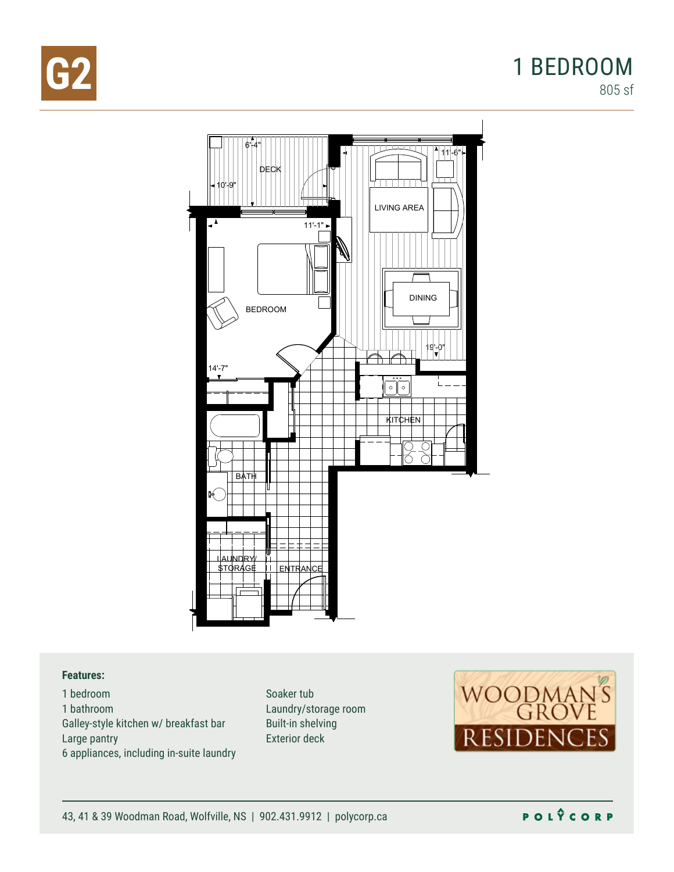

### **G2** 1 BEDROOM 805 sf



#### **Features:**

1 bedroom 1 bathroom Galley-style kitchen w/ breakfast bar Large pantry 6 appliances, including in-suite laundry

Soaker tub Laundry/storage room Built-in shelving Exterior deck



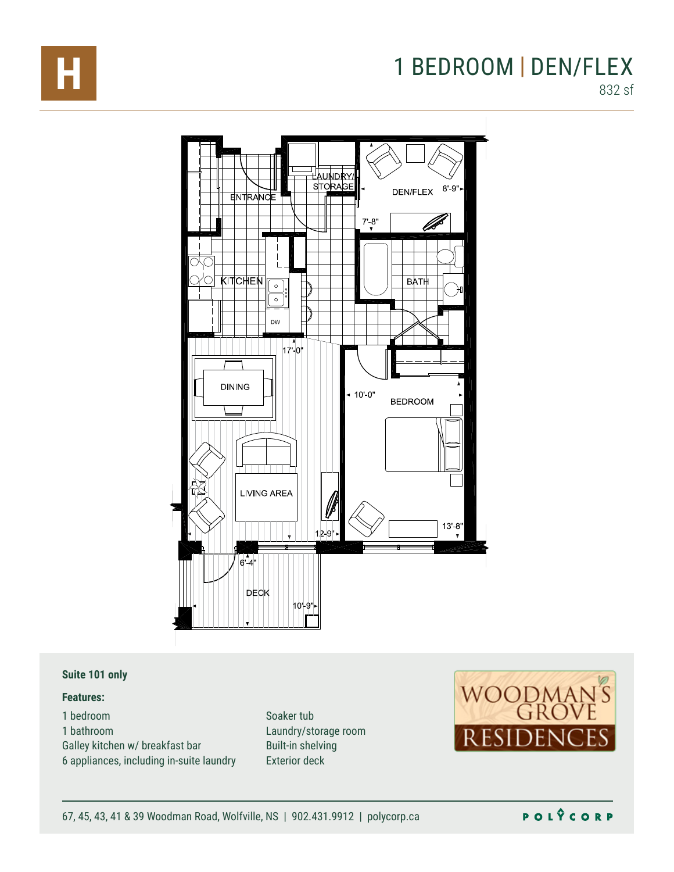

# **H** 1 BEDROOM | DEN/FLEX

832 sf



#### **Suite 101 only**

#### **Features:**

1 bedroom 1 bathroom Galley kitchen w/ breakfast bar 6 appliances, including in-suite laundry

Preliminary unit layout shown. Final plan may vary. Scale: 1/8" = 1'-0" Built-in shelving Soaker tub Laundry/storage room Exterior deck



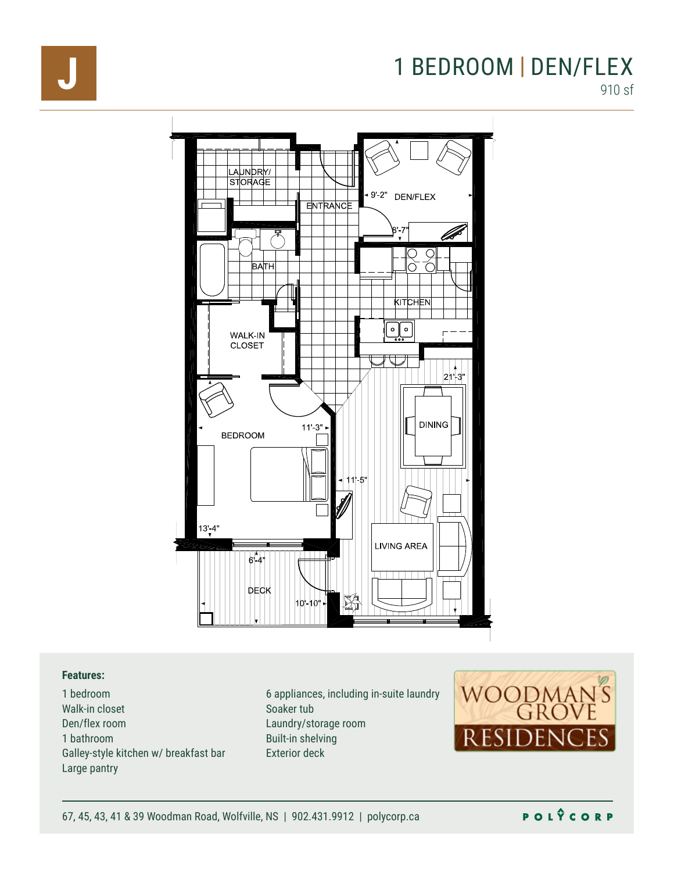### **J** 1 BEDROOM | DEN/FLEX 910 sf



#### **Features:**

1 bedroom Walk-in closet Den/flex room 1 bathroom Galley-style kitchen w/ breakfast bar Large pantry

Preliminary unit layout shown. Final plan may vary vary vary vary. Final plan may vary vary vary vary vary vary Scale: 1/8" Built-in shelving 6 appliances, including in-suite laundry Laundry/storage room Exterior deck



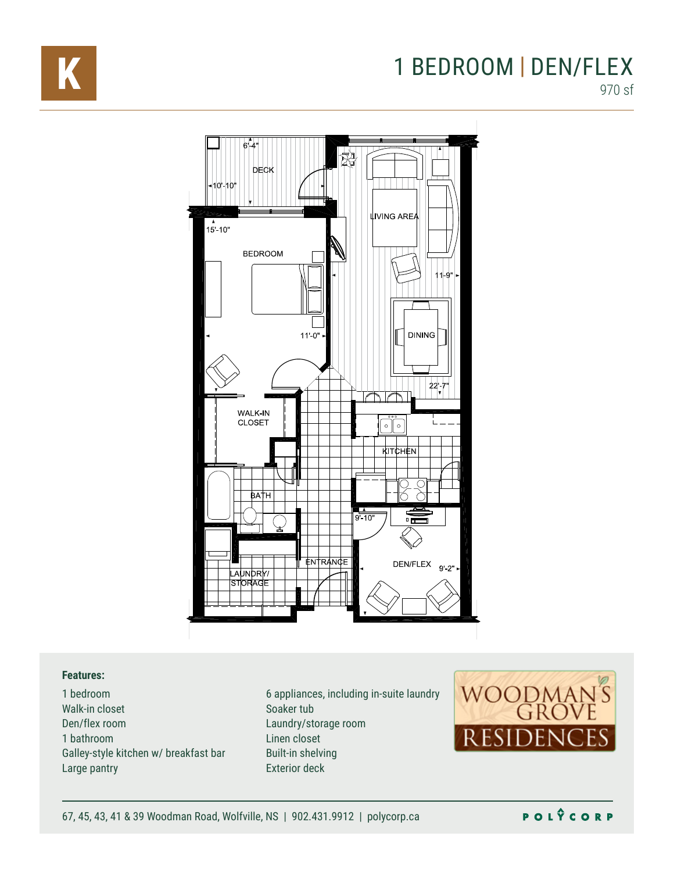

### **K** 1 BEDROOM | DEN/FLEX 970 sf



#### **Features:**

1 bedroom Walk-in closet Den/flex room 1 bathroom Galley-style kitchen w/ breakfast bar Large pantry

Soaker tub 6 appliances, including in-suite laundry Laundry/storage room Linen closet Built-in shelving Exterior deck